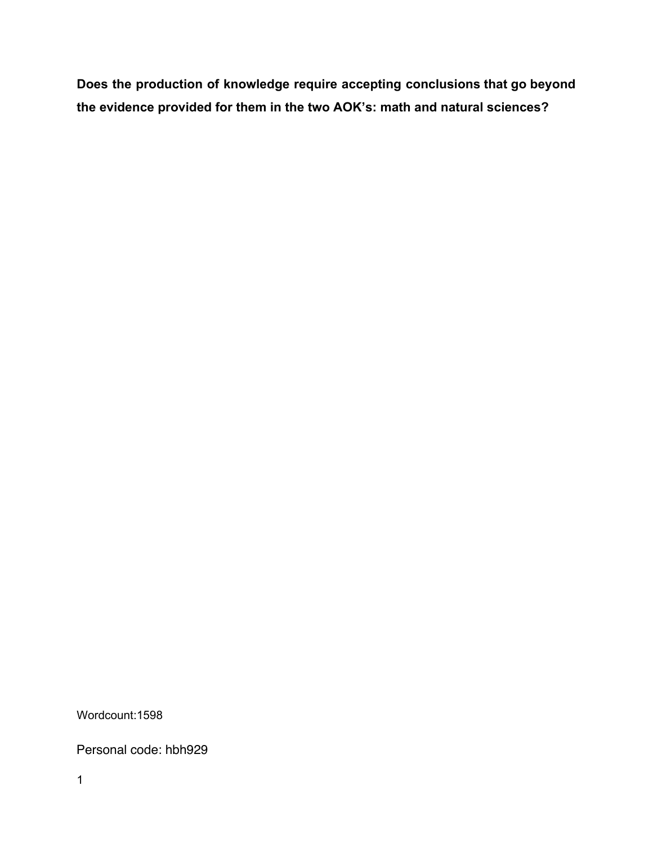**Does the production of knowledge require accepting conclusions that go beyond the evidence provided for them in the two AOK's: math and natural sciences?**

Wordcount:1598

Personal code: hbh929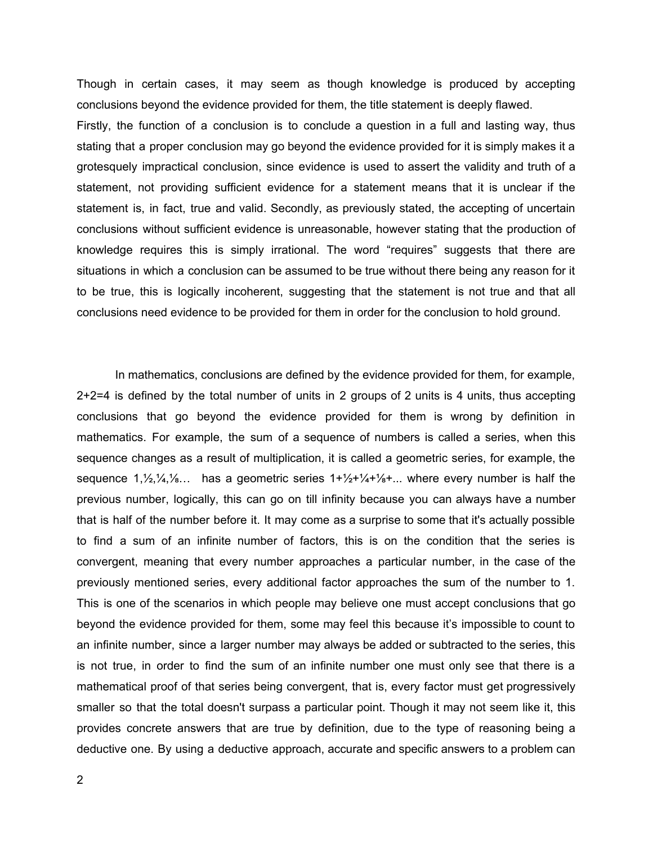Though in certain cases, it may seem as though knowledge is produced by accepting conclusions beyond the evidence provided for them, the title statement is deeply flawed.

Firstly, the function of a conclusion is to conclude a question in a full and lasting way, thus stating that a proper conclusion may go beyond the evidence provided for it is simply makes it a grotesquely impractical conclusion, since evidence is used to assert the validity and truth of a statement, not providing sufficient evidence for a statement means that it is unclear if the statement is, in fact, true and valid. Secondly, as previously stated, the accepting of uncertain conclusions without sufficient evidence is unreasonable, however stating that the production of knowledge requires this is simply irrational. The word "requires" suggests that there are situations in which a conclusion can be assumed to be true without there being any reason for it to be true, this is logically incoherent, suggesting that the statement is not true and that all conclusions need evidence to be provided for them in order for the conclusion to hold ground.

In mathematics, conclusions are defined by the evidence provided for them, for example, 2+2=4 is defined by the total number of units in 2 groups of 2 units is 4 units, thus accepting conclusions that go beyond the evidence provided for them is wrong by definition in mathematics. For example, the sum of a sequence of numbers is called a series, when this sequence changes as a result of multiplication, it is called a geometric series, for example, the sequence  $1,\frac{1}{2},\frac{1}{4},\frac{1}{8}$ ... has a geometric series  $1+\frac{1}{2}+\frac{1}{4}+\frac{1}{8}+\ldots$  where every number is half the previous number, logically, this can go on till infinity because you can always have a number that is half of the number before it. It may come as a surprise to some that it's actually possible to find a sum of an infinite number of factors, this is on the condition that the series is convergent, meaning that every number approaches a particular number, in the case of the previously mentioned series, every additional factor approaches the sum of the number to 1. This is one of the scenarios in which people may believe one must accept conclusions that go beyond the evidence provided for them, some may feel this because it's impossible to count to an infinite number, since a larger number may always be added or subtracted to the series, this is not true, in order to find the sum of an infinite number one must only see that there is a mathematical proof of that series being convergent, that is, every factor must get progressively smaller so that the total doesn't surpass a particular point. Though it may not seem like it, this provides concrete answers that are true by definition, due to the type of reasoning being a deductive one. By using a deductive approach, accurate and specific answers to a problem can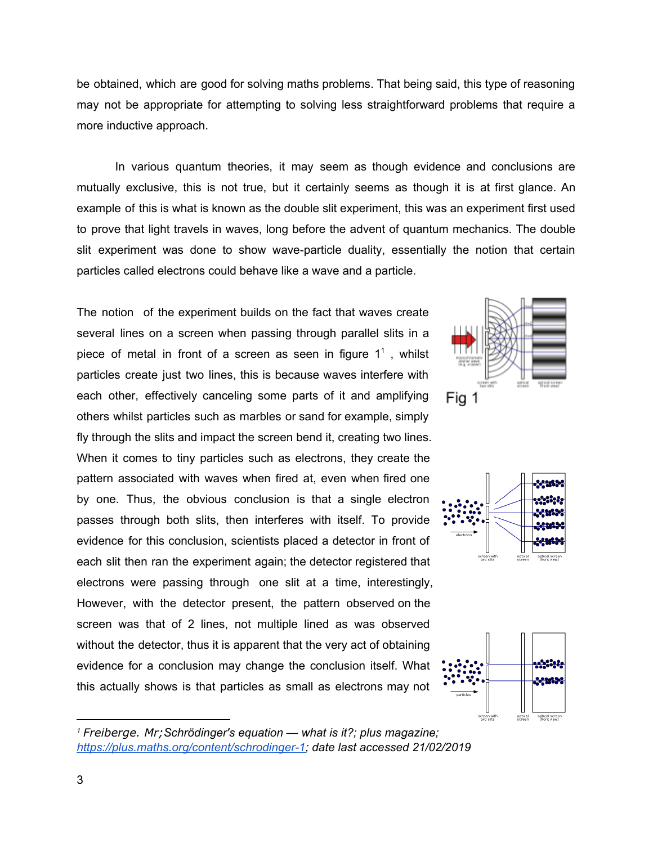be obtained, which are good for solving maths problems. That being said, this type of reasoning may not be appropriate for attempting to solving less straightforward problems that require a more inductive approach.

In various quantum theories, it may seem as though evidence and conclusions are mutually exclusive, this is not true, but it certainly seems as though it is at first glance. An example of this is what is known as the double slit experiment, this was an experiment first used to prove that light travels in waves, long before the advent of quantum mechanics. The double slit experiment was done to show wave-particle duality, essentially the notion that certain particles called electrons could behave like a wave and a particle.

The notion of the experiment builds on the fact that waves create several lines on a screen when passing through parallel slits in a piece of metal in front of a screen as seen in figure  $1^1$ , whilst particles create just two lines, this is because waves interfere with each other, effectively canceling some parts of it and amplifying others whilst particles such as marbles or sand for example, simply fly through the slits and impact the screen bend it, creating two lines. When it comes to tiny particles such as electrons, they create the pattern associated with waves when fired at, even when fired one by one. Thus, the obvious conclusion is that a single electron passes through both slits, then interferes with itself. To provide evidence for this conclusion, scientists placed a detector in front of each slit then ran the experiment again; the detector registered that electrons were passing through one slit at a time, interestingly, However, with the detector present, the pattern observed on the screen was that of 2 lines, not multiple lined as was observed without the detector, thus it is apparent that the very act of obtaining evidence for a conclusion may change the conclusion itself. What this actually shows is that particles as small as electrons may not







*<sup>1</sup> Freiberge. Mr;Schrödinger's equation — what is it?; plus magazine; <https://plus.maths.org/content/schrodinger-1>; date last accessed 21/02/2019*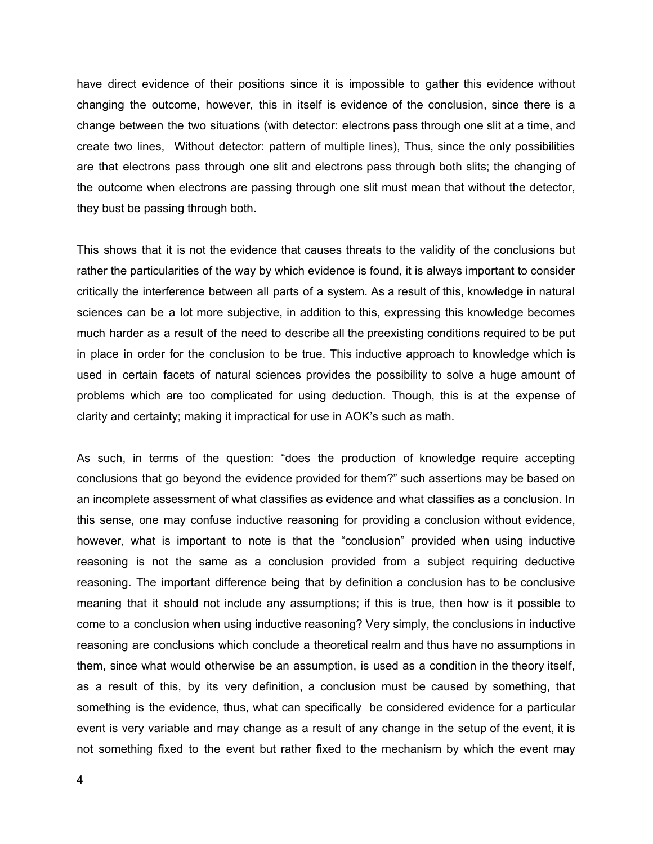have direct evidence of their positions since it is impossible to gather this evidence without changing the outcome, however, this in itself is evidence of the conclusion, since there is a change between the two situations (with detector: electrons pass through one slit at a time, and create two lines, Without detector: pattern of multiple lines), Thus, since the only possibilities are that electrons pass through one slit and electrons pass through both slits; the changing of the outcome when electrons are passing through one slit must mean that without the detector, they bust be passing through both.

This shows that it is not the evidence that causes threats to the validity of the conclusions but rather the particularities of the way by which evidence is found, it is always important to consider critically the interference between all parts of a system. As a result of this, knowledge in natural sciences can be a lot more subjective, in addition to this, expressing this knowledge becomes much harder as a result of the need to describe all the preexisting conditions required to be put in place in order for the conclusion to be true. This inductive approach to knowledge which is used in certain facets of natural sciences provides the possibility to solve a huge amount of problems which are too complicated for using deduction. Though, this is at the expense of clarity and certainty; making it impractical for use in AOK's such as math.

As such, in terms of the question: "does the production of knowledge require accepting conclusions that go beyond the evidence provided for them?" such assertions may be based on an incomplete assessment of what classifies as evidence and what classifies as a conclusion. In this sense, one may confuse inductive reasoning for providing a conclusion without evidence, however, what is important to note is that the "conclusion" provided when using inductive reasoning is not the same as a conclusion provided from a subject requiring deductive reasoning. The important difference being that by definition a conclusion has to be conclusive meaning that it should not include any assumptions; if this is true, then how is it possible to come to a conclusion when using inductive reasoning? Very simply, the conclusions in inductive reasoning are conclusions which conclude a theoretical realm and thus have no assumptions in them, since what would otherwise be an assumption, is used as a condition in the theory itself, as a result of this, by its very definition, a conclusion must be caused by something, that something is the evidence, thus, what can specifically be considered evidence for a particular event is very variable and may change as a result of any change in the setup of the event, it is not something fixed to the event but rather fixed to the mechanism by which the event may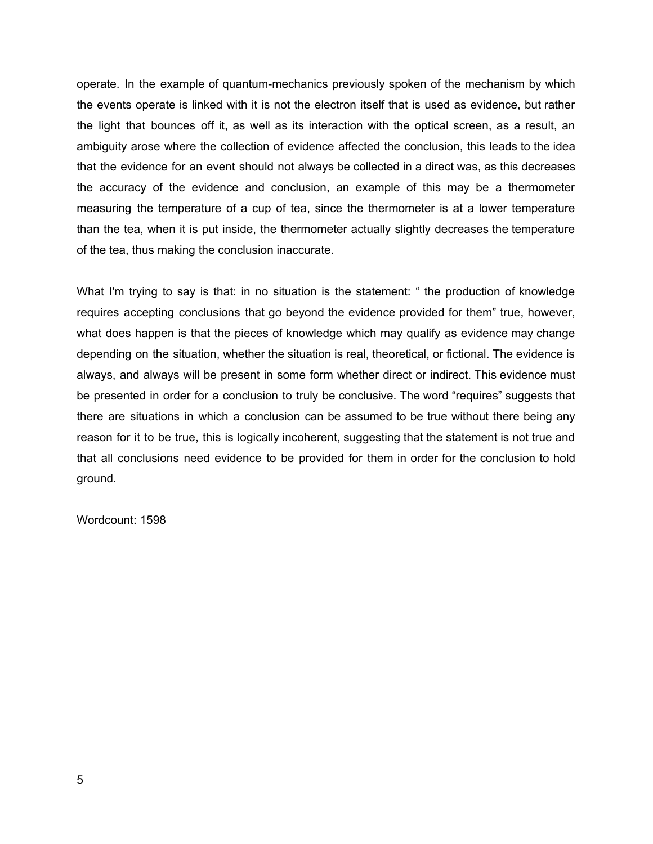operate. In the example of quantum-mechanics previously spoken of the mechanism by which the events operate is linked with it is not the electron itself that is used as evidence, but rather the light that bounces off it, as well as its interaction with the optical screen, as a result, an ambiguity arose where the collection of evidence affected the conclusion, this leads to the idea that the evidence for an event should not always be collected in a direct was, as this decreases the accuracy of the evidence and conclusion, an example of this may be a thermometer measuring the temperature of a cup of tea, since the thermometer is at a lower temperature than the tea, when it is put inside, the thermometer actually slightly decreases the temperature of the tea, thus making the conclusion inaccurate.

What I'm trying to say is that: in no situation is the statement: " the production of knowledge requires accepting conclusions that go beyond the evidence provided for them" true, however, what does happen is that the pieces of knowledge which may qualify as evidence may change depending on the situation, whether the situation is real, theoretical, or fictional. The evidence is always, and always will be present in some form whether direct or indirect. This evidence must be presented in order for a conclusion to truly be conclusive. The word "requires" suggests that there are situations in which a conclusion can be assumed to be true without there being any reason for it to be true, this is logically incoherent, suggesting that the statement is not true and that all conclusions need evidence to be provided for them in order for the conclusion to hold ground.

Wordcount: 1598